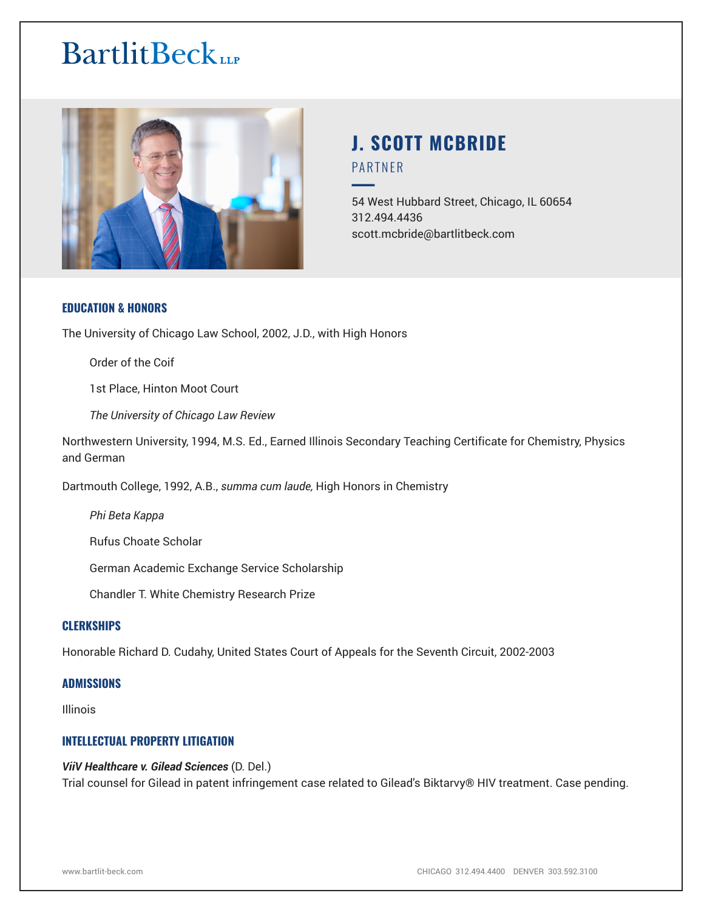

# **J. SCOTT MCBRIDE** PARTNER

54 West Hubbard Street, Chicago, IL 60654 312.494.4436 scott.mcbride@bartlitbeck.com

# **EDUCATION & HONORS**

The University of Chicago Law School, 2002, J.D., with High Honors

Order of the Coif

1st Place, Hinton Moot Court

*The University of Chicago Law Review*

Northwestern University, 1994, M.S. Ed., Earned Illinois Secondary Teaching Certificate for Chemistry, Physics and German

Dartmouth College, 1992, A.B., *summa cum laude,* High Honors in Chemistry

*Phi Beta Kappa*

Rufus Choate Scholar

German Academic Exchange Service Scholarship

Chandler T. White Chemistry Research Prize

# **CLERKSHIPS**

Honorable Richard D. Cudahy, United States Court of Appeals for the Seventh Circuit, 2002-2003

#### **ADMISSIONS**

Illinois

# **INTELLECTUAL PROPERTY LITIGATION**

#### *ViiV Healthcare v. Gilead Sciences* (D. Del.)

Trial counsel for Gilead in patent infringement case related to Gilead's Biktarvy® HIV treatment. Case pending.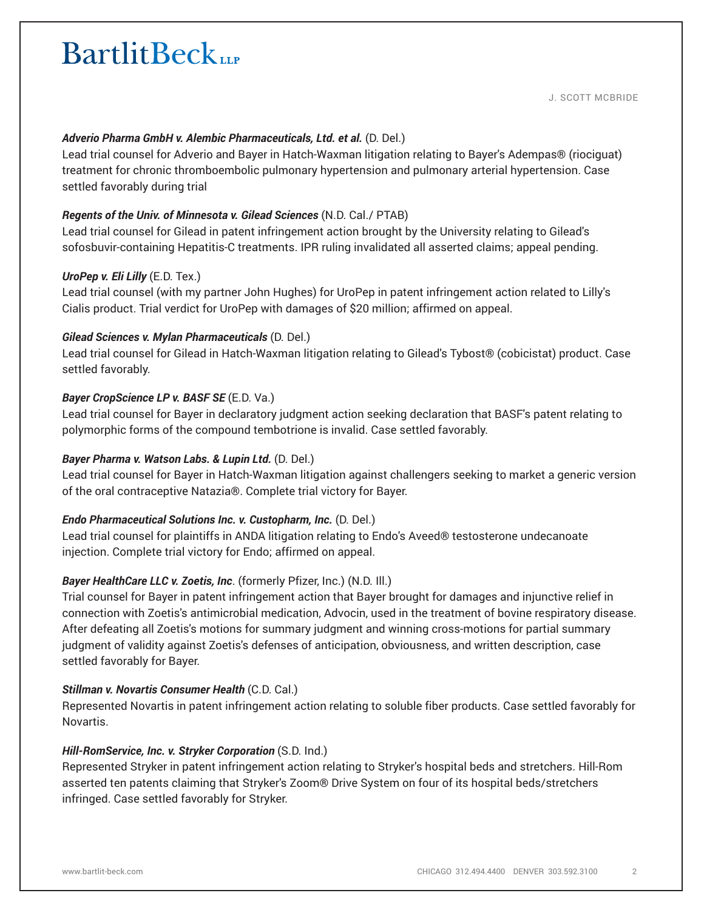J. SCOTT MCBRIDE

# *Adverio Pharma GmbH v. Alembic Pharmaceuticals, Ltd. et al.* (D. Del.)

Lead trial counsel for Adverio and Bayer in Hatch-Waxman litigation relating to Bayer's Adempas® (riociguat) treatment for chronic thromboembolic pulmonary hypertension and pulmonary arterial hypertension. Case settled favorably during trial

# *Regents of the Univ. of Minnesota v. Gilead Sciences* (N.D. Cal./ PTAB)

Lead trial counsel for Gilead in patent infringement action brought by the University relating to Gilead's sofosbuvir-containing Hepatitis-C treatments. IPR ruling invalidated all asserted claims; appeal pending.

# *UroPep v. Eli Lilly* (E.D. Tex.)

Lead trial counsel (with my partner John Hughes) for UroPep in patent infringement action related to Lilly's Cialis product. Trial verdict for UroPep with damages of \$20 million; affirmed on appeal.

# *Gilead Sciences v. Mylan Pharmaceuticals* (D. Del.)

Lead trial counsel for Gilead in Hatch-Waxman litigation relating to Gilead's Tybost® (cobicistat) product. Case settled favorably.

# *Bayer CropScience LP v. BASF SE* (E.D. Va.)

Lead trial counsel for Bayer in declaratory judgment action seeking declaration that BASF's patent relating to polymorphic forms of the compound tembotrione is invalid. Case settled favorably.

# *Bayer Pharma v. Watson Labs. & Lupin Ltd.* (D. Del.)

Lead trial counsel for Bayer in Hatch-Waxman litigation against challengers seeking to market a generic version of the oral contraceptive Natazia®. Complete trial victory for Bayer.

# *Endo Pharmaceutical Solutions Inc. v. Custopharm, Inc.* (D. Del.)

Lead trial counsel for plaintiffs in ANDA litigation relating to Endo's Aveed® testosterone undecanoate injection. Complete trial victory for Endo; affirmed on appeal.

# *Bayer HealthCare LLC v. Zoetis, Inc*. (formerly Pfizer, Inc.) (N.D. Ill.)

Trial counsel for Bayer in patent infringement action that Bayer brought for damages and injunctive relief in connection with Zoetis's antimicrobial medication, Advocin, used in the treatment of bovine respiratory disease. After defeating all Zoetis's motions for summary judgment and winning cross-motions for partial summary judgment of validity against Zoetis's defenses of anticipation, obviousness, and written description, case settled favorably for Bayer.

# *Stillman v. Novartis Consumer Health* (C.D. Cal.)

Represented Novartis in patent infringement action relating to soluble fiber products. Case settled favorably for Novartis.

# *Hill-RomService, Inc. v. Stryker Corporation* (S.D. Ind.)

Represented Stryker in patent infringement action relating to Stryker's hospital beds and stretchers. Hill-Rom asserted ten patents claiming that Stryker's Zoom® Drive System on four of its hospital beds/stretchers infringed. Case settled favorably for Stryker.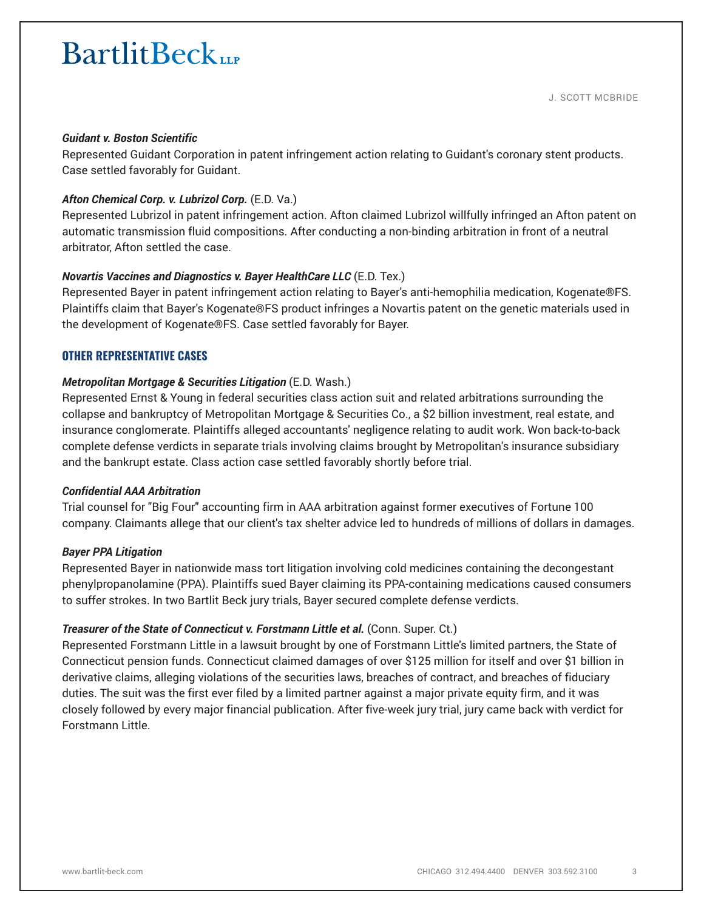#### *Guidant v. Boston Scientific*

Represented Guidant Corporation in patent infringement action relating to Guidant's coronary stent products. Case settled favorably for Guidant.

#### *Afton Chemical Corp. v. Lubrizol Corp.* (E.D. Va.)

Represented Lubrizol in patent infringement action. Afton claimed Lubrizol willfully infringed an Afton patent on automatic transmission fluid compositions. After conducting a non-binding arbitration in front of a neutral arbitrator, Afton settled the case.

#### *Novartis Vaccines and Diagnostics v. Bayer HealthCare LLC* (E.D. Tex.)

Represented Bayer in patent infringement action relating to Bayer's anti-hemophilia medication, Kogenate®FS. Plaintiffs claim that Bayer's Kogenate®FS product infringes a Novartis patent on the genetic materials used in the development of Kogenate®FS. Case settled favorably for Bayer.

#### **OTHER REPRESENTATIVE CASES**

#### *Metropolitan Mortgage & Securities Litigation* (E.D. Wash.)

Represented Ernst & Young in federal securities class action suit and related arbitrations surrounding the collapse and bankruptcy of Metropolitan Mortgage & Securities Co., a \$2 billion investment, real estate, and insurance conglomerate. Plaintiffs alleged accountants' negligence relating to audit work. Won back-to-back complete defense verdicts in separate trials involving claims brought by Metropolitan's insurance subsidiary and the bankrupt estate. Class action case settled favorably shortly before trial.

#### *Confidential AAA Arbitration*

Trial counsel for "Big Four" accounting firm in AAA arbitration against former executives of Fortune 100 company. Claimants allege that our client's tax shelter advice led to hundreds of millions of dollars in damages.

#### *Bayer PPA Litigation*

Represented Bayer in nationwide mass tort litigation involving cold medicines containing the decongestant phenylpropanolamine (PPA). Plaintiffs sued Bayer claiming its PPA-containing medications caused consumers to suffer strokes. In two Bartlit Beck jury trials, Bayer secured complete defense verdicts.

#### *Treasurer of the State of Connecticut v. Forstmann Little et al. (Conn. Super. Ct.)*

Represented Forstmann Little in a lawsuit brought by one of Forstmann Little's limited partners, the State of Connecticut pension funds. Connecticut claimed damages of over \$125 million for itself and over \$1 billion in derivative claims, alleging violations of the securities laws, breaches of contract, and breaches of fiduciary duties. The suit was the first ever filed by a limited partner against a major private equity firm, and it was closely followed by every major financial publication. After five-week jury trial, jury came back with verdict for Forstmann Little.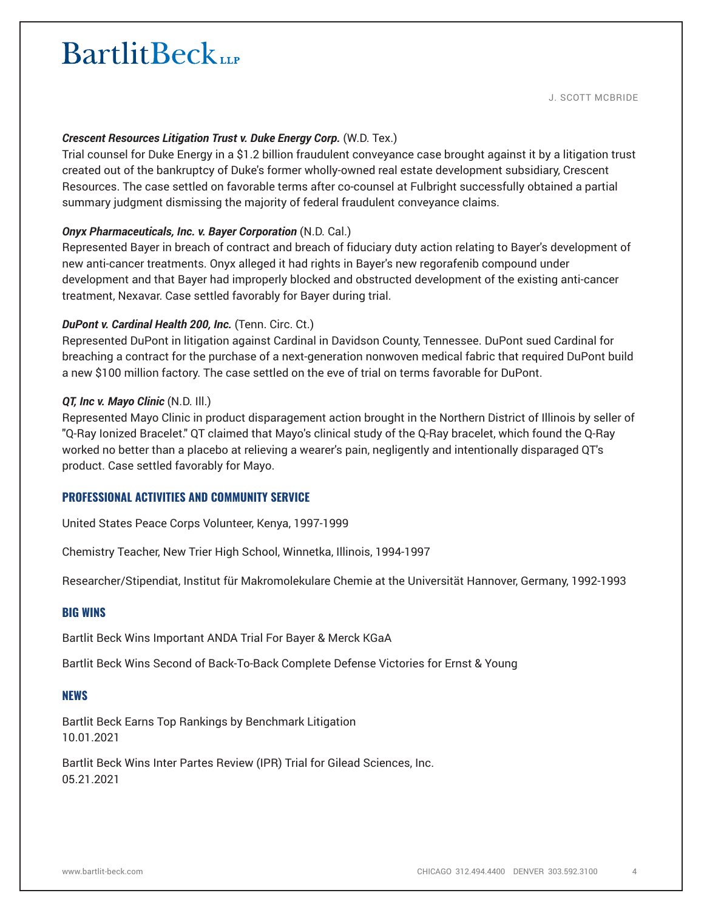J. SCOTT MCBRIDE

# **Crescent Resources Litigation Trust v. Duke Energy Corp. (W.D. Tex.)**

Trial counsel for Duke Energy in a \$1.2 billion fraudulent conveyance case brought against it by a litigation trust created out of the bankruptcy of Duke's former wholly-owned real estate development subsidiary, Crescent Resources. The case settled on favorable terms after co-counsel at Fulbright successfully obtained a partial summary judgment dismissing the majority of federal fraudulent conveyance claims.

# *Onyx Pharmaceuticals, Inc. v. Bayer Corporation* (N.D. Cal.)

Represented Bayer in breach of contract and breach of fiduciary duty action relating to Bayer's development of new anti-cancer treatments. Onyx alleged it had rights in Bayer's new regorafenib compound under development and that Bayer had improperly blocked and obstructed development of the existing anti-cancer treatment, Nexavar. Case settled favorably for Bayer during trial.

#### *DuPont v. Cardinal Health 200, Inc.* (Tenn. Circ. Ct.)

Represented DuPont in litigation against Cardinal in Davidson County, Tennessee. DuPont sued Cardinal for breaching a contract for the purchase of a next-generation nonwoven medical fabric that required DuPont build a new \$100 million factory. The case settled on the eve of trial on terms favorable for DuPont.

#### *QT, Inc v. Mayo Clinic* (N.D. Ill.)

Represented Mayo Clinic in product disparagement action brought in the Northern District of Illinois by seller of "Q-Ray Ionized Bracelet." QT claimed that Mayo's clinical study of the Q-Ray bracelet, which found the Q-Ray worked no better than a placebo at relieving a wearer's pain, negligently and intentionally disparaged QT's product. Case settled favorably for Mayo.

# **PROFESSIONAL ACTIVITIES AND COMMUNITY SERVICE**

United States Peace Corps Volunteer, Kenya, 1997-1999

Chemistry Teacher, New Trier High School, Winnetka, Illinois, 1994-1997

Researcher/Stipendiat, Institut für Makromolekulare Chemie at the Universität Hannover, Germany, 1992-1993

#### **BIG WINS**

Bartlit Beck Wins Important ANDA Trial For Bayer & Merck KGaA

Bartlit Beck Wins Second of Back-To-Back Complete Defense Victories for Ernst & Young

#### **NEWS**

Bartlit Beck Earns Top Rankings by Benchmark Litigation 10.01.2021

Bartlit Beck Wins Inter Partes Review (IPR) Trial for Gilead Sciences, Inc. 05.21.2021